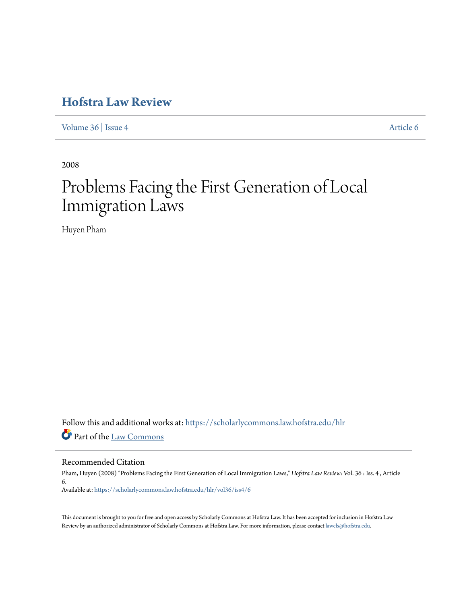# **[Hofstra Law Review](https://scholarlycommons.law.hofstra.edu/hlr?utm_source=scholarlycommons.law.hofstra.edu%2Fhlr%2Fvol36%2Fiss4%2F6&utm_medium=PDF&utm_campaign=PDFCoverPages)**

[Volume 36](https://scholarlycommons.law.hofstra.edu/hlr/vol36?utm_source=scholarlycommons.law.hofstra.edu%2Fhlr%2Fvol36%2Fiss4%2F6&utm_medium=PDF&utm_campaign=PDFCoverPages) | [Issue 4](https://scholarlycommons.law.hofstra.edu/hlr/vol36/iss4?utm_source=scholarlycommons.law.hofstra.edu%2Fhlr%2Fvol36%2Fiss4%2F6&utm_medium=PDF&utm_campaign=PDFCoverPages) [Article 6](https://scholarlycommons.law.hofstra.edu/hlr/vol36/iss4/6?utm_source=scholarlycommons.law.hofstra.edu%2Fhlr%2Fvol36%2Fiss4%2F6&utm_medium=PDF&utm_campaign=PDFCoverPages)

2008

# Problems Facing the First Generation of Local Immigration Laws

Huyen Pham

Follow this and additional works at: [https://scholarlycommons.law.hofstra.edu/hlr](https://scholarlycommons.law.hofstra.edu/hlr?utm_source=scholarlycommons.law.hofstra.edu%2Fhlr%2Fvol36%2Fiss4%2F6&utm_medium=PDF&utm_campaign=PDFCoverPages) Part of the [Law Commons](http://network.bepress.com/hgg/discipline/578?utm_source=scholarlycommons.law.hofstra.edu%2Fhlr%2Fvol36%2Fiss4%2F6&utm_medium=PDF&utm_campaign=PDFCoverPages)

Recommended Citation

Pham, Huyen (2008) "Problems Facing the First Generation of Local Immigration Laws," *Hofstra Law Review*: Vol. 36 : Iss. 4 , Article 6. Available at: [https://scholarlycommons.law.hofstra.edu/hlr/vol36/iss4/6](https://scholarlycommons.law.hofstra.edu/hlr/vol36/iss4/6?utm_source=scholarlycommons.law.hofstra.edu%2Fhlr%2Fvol36%2Fiss4%2F6&utm_medium=PDF&utm_campaign=PDFCoverPages)

This document is brought to you for free and open access by Scholarly Commons at Hofstra Law. It has been accepted for inclusion in Hofstra Law Review by an authorized administrator of Scholarly Commons at Hofstra Law. For more information, please contact [lawcls@hofstra.edu](mailto:lawcls@hofstra.edu).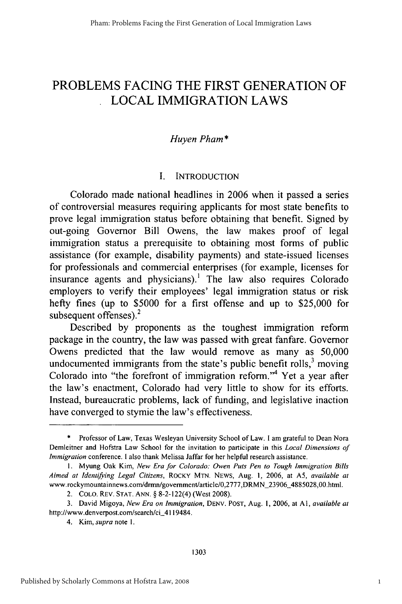# PROBLEMS **FACING** THE FIRST **GENERATION** OF LOCAL IMMIGRATION LAWS

# *Huyen Pham\**

### I. INTRODUCTION

Colorado made national headlines in 2006 when it passed a series of controversial measures requiring applicants for most state benefits to prove legal immigration status before obtaining that benefit. Signed by out-going Governor Bill Owens, the law makes proof of legal immigration status a prerequisite to obtaining most forms of public assistance (for example, disability payments) and state-issued licenses for professionals and commercial enterprises (for example, licenses for insurance agents and physicians).' The law also requires Colorado employers to verify their employees' legal immigration status or risk hefty fines (up to \$5000 for a first offense and up to \$25,000 for subsequent offenses). $2$ 

Described by proponents as the toughest immigration reform package in the country, the law was passed with great fanfare. Governor Owens predicted that the law would remove as many as 50,000 undocumented immigrants from the state's public benefit rolls, $3$  moving Colorado into "the forefront of immigration reform."4 Yet a year after the law's enactment, Colorado had very little to show for its efforts. Instead, bureaucratic problems, lack of funding, and legislative inaction have converged to stymie the law's effectiveness.

Professor of Law, Texas Wesleyan University School of Law. I am grateful to Dean Nora Demleitner and Hofstra Law School for the invitation to participate in this Local *Dimensions of Immigration* conference. I also thank Melissa Jaffar for her helpful research assistance.

**<sup>1.</sup>** Myung Oak Kim, *New Era for Colorado: Owen Puts Pen to Tough Immigration Bills Aimed at Identifying Legal Citizens,* ROCKY **MTN.** NEWS, Aug. 1, 2006, at A5, *available at* www.rockymountainnews.com/drmn/government/article/0,2777,DRMN-23906\_4885028,00.html.

<sup>2.</sup> **COLO.** REV. **STAT. ANN.** § 8-2-122(4) (West 2008).

<sup>3.</sup> David Migoya, *New Era on Immigration,* **DENV. POST,** Aug. **1,** 2006, at **AI,** *available at* http://www.denverpost.com/search/ci\_4119484.

<sup>4.</sup> Kim, *supra* note **1.**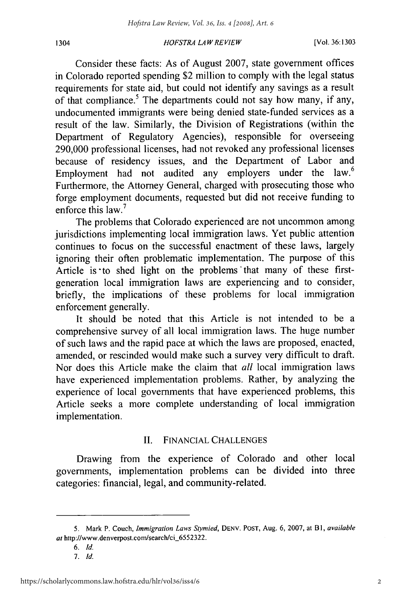1304

#### *HOFSTRA* LAW *REVIEW*

Consider these facts: As of August 2007, state government offices in Colorado reported spending \$2 million to comply with the legal status requirements for state aid, but could not identify any savings as a result of that compliance.<sup>5</sup> The departments could not say how many, if any, undocumented immigrants were being denied state-funded services as a result of the law. Similarly, the Division of Registrations (within the Department of Regulatory Agencies), responsible for overseeing 290,000 professional licenses, had not revoked any professional licenses because of residency issues, and the Department of Labor and Employment had not audited any employers under the law.<sup>6</sup> Furthermore, the Attorney General, charged with prosecuting those who forge employment documents, requested but did not receive funding to enforce this law.<sup>7</sup>

The problems that Colorado experienced are not uncommon among jurisdictions implementing local immigration laws. Yet public attention continues to focus on the successful enactment of these laws, largely ignoring their often problematic implementation. The purpose of this Article is to shed light on the problems that many of these firstgeneration local immigration laws are experiencing and to consider, briefly, the implications of these problems for local immigration enforcement generally.

It should be noted that this Article is not intended to be a comprehensive survey of all local immigration laws. The huge number of such laws and the rapid pace at which the laws are proposed, enacted, amended, or rescinded would make such a survey very difficult to draft. Nor does this Article make the claim that *all* local immigration laws have experienced implementation problems. Rather, by analyzing the experience of local governments that have experienced problems, this Article seeks a more complete understanding of local immigration implementation.

# II. FINANCIAL CHALLENGES

Drawing from the experience of Colorado and other local governments, implementation problems can be divided into three categories: financial, legal, and community-related.

- *6. Id.*
- *7. Id.*

**<sup>5.</sup>** Mark P. Couch, *Immigration Laws* Stymied, DENY. POST, Aug. 6, 2007, at BI, *available* at http://www.denverpost.com/search/ci\_6552322.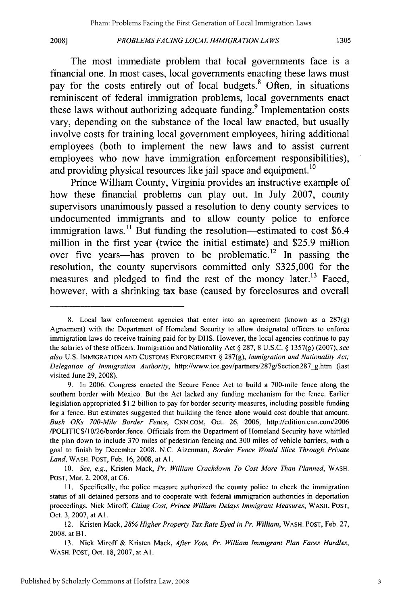**2008]**

The most immediate problem that local governments face is a financial one. In most cases, local governments enacting these laws must pay for the costs entirely out of local budgets.<sup>8</sup> Often, in situations reminiscent of federal immigration problems, local governments enact these laws without authorizing adequate funding.<sup>9</sup> Implementation costs vary, depending on the substance of the local law enacted, but usually involve costs for training local government employees, hiring additional employees (both to implement the new laws and to assist current employees who now have immigration enforcement responsibilities), and providing physical resources like jail space and equipment.<sup>10</sup>

Prince William County, Virginia provides an instructive example of how these financial problems can play out. In July 2007, county supervisors unanimously passed a resolution to deny county services to undocumented immigrants and to allow county police to enforce immigration laws.<sup>11</sup> But funding the resolution—estimated to cost  $$6.4$ million in the first year (twice the initial estimate) and \$25.9 million over five years—has proven to be problematic.<sup>12</sup> In passing the resolution, the county supervisors committed only \$325,000 for the measures and pledged to find the rest of the money later.<sup>13</sup> Faced, however, with a shrinking tax base (caused by foreclosures and overall

<sup>8.</sup> Local law enforcement agencies that enter into an agreement (known as a 287(g) Agreement) with the Department of Homeland Security to allow designated officers to enforce immigration laws do receive training paid for by DHS. However, the local agencies continue to pay the salaries of these officers. Immigration and Nationality Act § 287, 8 U.S.C. § 1357(g) (2007); *see also* U.S. IMMIGRATION **AND** CUSTOMS **ENFORCEMENT** § 287(g), *Immigration and Nationality Act; Delegation of Immigration Authority,* http://www.ice.gov/partners/287g/Section287-g.htm (last visited June 29, 2008).

<sup>9.</sup> In 2006, Congress enacted the Secure Fence Act to build a 700-mile fence along the southern border with Mexico. But the Act lacked any funding mechanism for the fence. Earlier legislation appropriated \$1.2 billion to pay for border security measures, including possible funding for a fence. But estimates suggested that building the fence alone would cost double that amount. *Bush OKs 700-Mile Border Fence,* **CNN.COM,** Oct. 26, 2006, http://edition.cnn.com/2006 /POLITICS/] 0/26/border.fence. Officials from the Department of Homeland Security have whittled the plan down to include 370 miles of pedestrian fencing and 300 miles of vehicle barriers, with a goal to finish by December 2008. N.C. Aizenman, *Border Fence Would Slice Through Private Land,* WASH. **POST,** Feb. **16,** 2008, at **Al.**

<sup>10.</sup> *See, e.g.,* Kristen Mack, *Pr. William Crackdown To Cost More Than Planned,* WASH. POST, Mar. 2, 2008, at C6.

**<sup>11.</sup>** Specifically, the police measure authorized the county police to check the immigration status of all detained persons and to cooperate with federal immigration authorities in deportation proceedings. Nick Miroff, *Citing Cost, Prince William Delays Immigrant Measures,* WASH. **POST,** Oct. 3, 2007, at **Al.**

<sup>12.</sup> Kristen Mack, *28% Higher Property Tax Rate Eyed in Pr. William,* WASH. POST, Feb. 27, 2008, at Bl.

<sup>13.</sup> Nick Miroff & Kristen Mack, *After Vote, Pr. William Immigrant Plan Faces Hurdles,* WASH. POST, Oct. 18, 2007, at **AI.**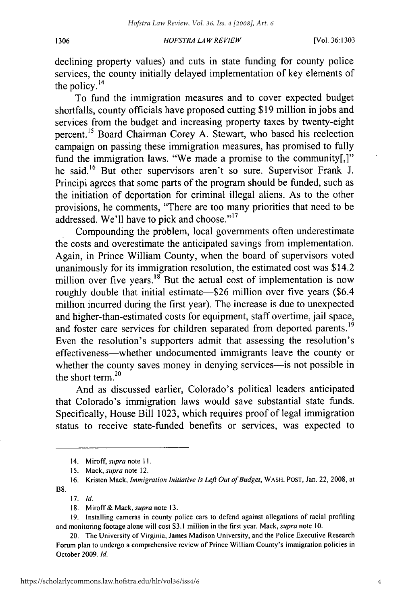#### 1306

#### *HOFSTRA LA WREVIEW*

declining property values) and cuts in state funding for county police services, the county initially delayed implementation of key elements of the policy. $^{14}$ 

To fund the immigration measures and to cover expected budget shortfalls, county officials have proposed cutting \$19 million in jobs and services from the budget and increasing property taxes by twenty-eight percent.15 Board Chairman Corey A. Stewart, who based his reelection campaign on passing these immigration measures, has promised to fully fund the immigration laws. "We made a promise to the community[,]" he said.<sup>16</sup> But other supervisors aren't so sure. Supervisor Frank J. Principi agrees that some parts of the program should be funded, such as the initiation of deportation for criminal illegal aliens. As to the other provisions, he comments, "There are too many priorities that need to be addressed. We'll have to pick and choose."<sup>17</sup>

Compounding the problem, local governments often underestimate the costs and overestimate the anticipated savings from implementation. Again, in Prince William County, when the board of supervisors voted unanimously for its immigration resolution, the estimated cost was \$14.2 million over five years. $18$  But the actual cost of implementation is now roughly double that initial estimate-\$26 million over five years (\$6.4) million incurred during the first year). The increase is due to unexpected and higher-than-estimated costs for equipment, staff overtime, jail space, and foster care services for children separated from deported parents.<sup>19</sup> Even the resolution's supporters admit that assessing the resolution's effectiveness-whether undocumented immigrants leave the county or whether the county saves money in denying services-is not possible in the short term. $20$ 

And as discussed earlier, Colorado's political leaders anticipated that Colorado's immigration laws would save substantial state funds. Specifically, House Bill 1023, which requires proof of legal immigration status to receive state-funded benefits or services, was expected to

17. *Id.*

<sup>14.</sup> Miroff, *supra* note II.

<sup>15.</sup> Mack, *supra* note 12.

<sup>16.</sup> Kristen Mack, *Immigration Initiative Is Left Out of Budget,* WASH. **POST,** Jan. 22, 2008, at B8.

<sup>18.</sup> Miroff& Mack, *supra* note 13.

<sup>19.</sup> Installing cameras in county police cars to defend against allegations of racial profiling and monitoring footage alone will cost **\$3.1** million in the first year. Mack, *supra* note 10.

<sup>20.</sup> The University of Virginia, James Madison University, and the Police Executive Research Forum plan to undergo a comprehensive review of Prince William County's immigration policies in October 2009. *Id.*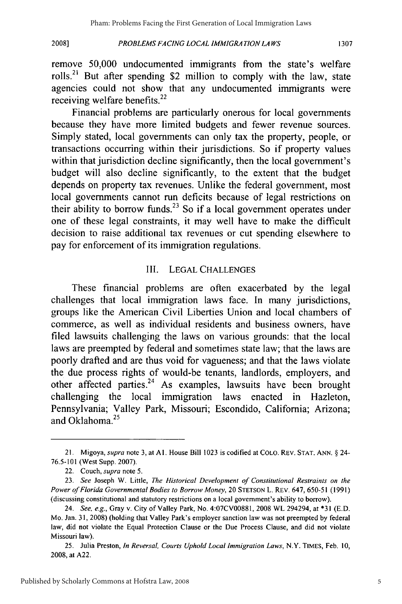*PROBLEMS FACING LOCAL IMMIGRATION LAWS*

remove 50,000 undocumented immigrants from the state's welfare rolls.<sup>21</sup> But after spending \$2 million to comply with the law, state agencies could not show that any undocumented immigrants were receiving welfare benefits.<sup>22</sup>

Financial problems are particularly onerous for local governments because they have more limited budgets and fewer revenue sources. Simply stated, local governments can only tax the property, people, or transactions occurring within their jurisdictions. So if property values within that jurisdiction decline significantly, then the local government's budget will also decline significantly, to the extent that the budget depends on property tax revenues. Unlike the federal government, most local governments cannot run deficits because of legal restrictions on their ability to borrow funds.<sup>23</sup> So if a local government operates under one of these legal constraints, it may well have to make the difficult decision to raise additional tax revenues or cut spending elsewhere to pay for enforcement of its immigration regulations.

## III. LEGAL CHALLENGES

These financial problems are often exacerbated by the legal challenges that local immigration laws face. In many jurisdictions, groups like the American Civil Liberties Union and local chambers of commerce, as well as individual residents and business owners, have filed lawsuits challenging the laws on various grounds: that the local laws are preempted by federal and sometimes state law; that the laws are poorly drafted and are thus void for vagueness; and that the laws violate the due process rights of would-be tenants, landlords, employers, and other affected parties.<sup>24</sup> As examples, lawsuits have been brought challenging the local immigration laws enacted in Hazleton, Pennsylvania; Valley Park, Missouri; Escondido, California; Arizona; and Oklahoma. $25$ 

1307

<sup>21.</sup> Migoya, supra note 3, at **Al.** House Bill 1023 is codified at COLO. REV. **STAT. ANN.** § 24- 76.5-101 (West Supp. 2007).

<sup>22.</sup> Couch, supra note 5.

<sup>23.</sup> *See* Joseph W. Little, *The Historical Development of Constitutional Restraints on the Power of Florida Governmental* Bodies to Borrow *Money,* 20 **STETSON** L. REV. 647, 650-51 (1991) (discussing constitutional and statutory restrictions on a local government's ability to borrow).

<sup>24.</sup> *See, e.g.,* Gray v. City of Valley Park, No. 4:07CV00881, 2008 WL 294294, at **\*31** (E.D. Mo. Jan. 31, 2008) (holding that Valley Park's employer sanction law was not preempted by federal law, did not violate the Equal Protection Clause or the Due Process Clause, and did not violate Missouri law).

<sup>25.</sup> Julia Preston, *In Reversal, Courts Uphold Local Immigration Laws,* N.Y. TIMES, Feb. 10, 2008, at A22.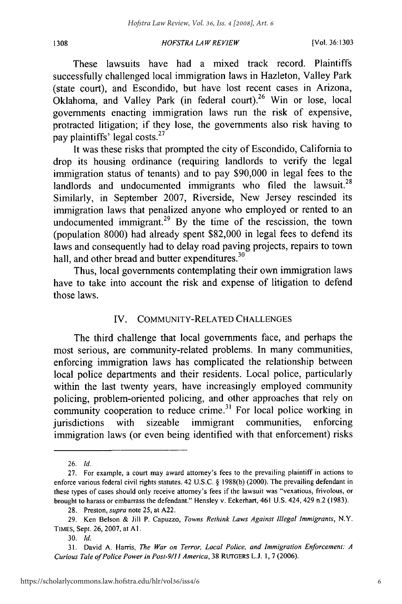#### *HOFSTRA LAW REVIEW*

These lawsuits have had a mixed track record. Plaintiffs successfully challenged local immigration laws in Hazleton, Valley Park (state court), and Escondido, but have lost recent cases in Arizona, Oklahoma, and Valley Park (in federal court).<sup>26</sup> Win or lose, local governments enacting immigration laws run the risk of expensive, protracted litigation; if they lose, the governments also risk having to pay plaintiffs' legal costs. $27$ 

It was these risks that prompted the city of Escondido, California to drop its housing ordinance (requiring landlords to verify the legal immigration status of tenants) and to pay \$90,000 in legal fees to the landlords and undocumented immigrants who filed the lawsuit.<sup>28</sup> Similarly, in September 2007, Riverside, New Jersey rescinded its immigration laws that penalized anyone who employed or rented to an undocumented immigrant. $29$  By the time of the rescission, the town (population 8000) had already spent \$82,000 in legal fees to defend its laws and consequently had to delay road paving projects, repairs to town hall, and other bread and butter expenditures.<sup>30</sup>

Thus, local governments contemplating their own immigration laws have to take into account the risk and expense of litigation to defend those laws.

# IV. COMMUNITY-RELATED CHALLENGES

The third challenge that local governments face, and perhaps the most serious, are community-related problems. In many communities, enforcing immigration laws has complicated the relationship between local police departments and their residents. Local police, particularly within the last twenty years, have increasingly employed community policing, problem-oriented policing, and other approaches that rely on community cooperation to reduce crime.<sup>31</sup> For local police working in jurisdictions with sizeable immigrant communities, enforcing immigration laws (or even being identified with that enforcement) risks

1308

<sup>26.</sup> *Id.*

<sup>27.</sup> For example, a court may award attorney's fees to the prevailing plaintiff in actions to enforce various federal civil rights statutes. 42 U.S.C. § 1988(b) (2000). The prevailing defendant in these types of cases should only receive attorney's fees if the lawsuit was "vexatious, frivolous, or brought to harass or embarrass the defendant." Hensley v. Eckerhart, 461 U.S. 424, 429 n.2 (1983).

<sup>28.</sup> Preston, *supra* note 25, at A22.

<sup>29.</sup> Ken Belson & Jill P. Capuzzo, *Towns Rethink Laws Against Illegal Immigrants,* N.Y. TIMES, Sept. 26, 2007, at **Al.**

<sup>30.</sup> *Id.*

<sup>31.</sup> David A. Harris, *The War on Terror, Local Police, and Immigration Enforcement: A Curious Tale of Police Power in Post-9/Il America,* 38 RUTGERS **L.J.** 1, 7 (2006).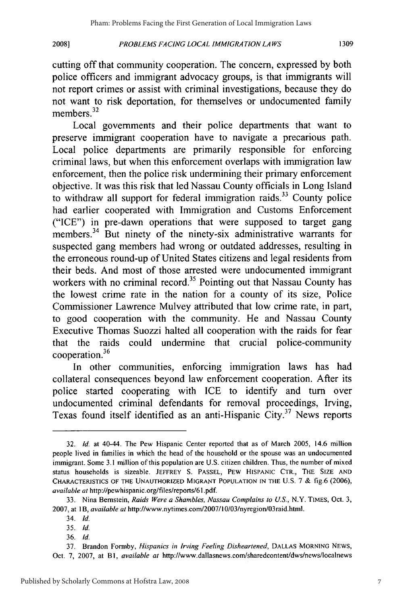*PROBLEMS FACING LOCAL IMMIGRATION LAWS*

cutting off that community cooperation. The concern, expressed by both police officers and immigrant advocacy groups, is that immigrants will not report crimes or assist with criminal investigations, because they do not want to risk deportation, for themselves or undocumented family members.<sup>32</sup>

Local governments and their police departments that want to preserve immigrant cooperation have to navigate a precarious path. Local police departments are primarily responsible for enforcing criminal laws, but when this enforcement overlaps with immigration law enforcement, then the police risk undermining their primary enforcement objective. It was this risk that led Nassau County officials in Long Island to withdraw all support for federal immigration raids.<sup>33</sup> County police had earlier cooperated with Immigration and Customs Enforcement ("ICE") in pre-dawn operations that were supposed to target gang members.<sup>34</sup> But ninety of the ninety-six administrative warrants for suspected gang members had wrong or outdated addresses, resulting in the erroneous round-up of United States citizens and legal residents from their beds. And most of those arrested were undocumented immigrant workers with no criminal record.<sup>35</sup> Pointing out that Nassau County has the lowest crime rate in the nation for a county of its size, Police Commissioner Lawrence Mulvey attributed that low crime rate, in part, to good cooperation with the community. He and Nassau County Executive Thomas Suozzi halted all cooperation with the raids for fear that the raids could undermine that crucial police-community cooperation.<sup>36</sup>

In other communities, enforcing immigration laws has had collateral consequences beyond law enforcement cooperation. After its police started cooperating with ICE to identify and turn over undocumented criminal defendants for removal proceedings, Irving, Texas found itself identified as an anti-Hispanic City.<sup>37</sup> News reports

**2008]**

<sup>32.</sup> *Id.* at 40-44. The Pew Hispanic Center reported that as of March 2005, 14.6 million people lived in families in which the head of the household or the spouse was an undocumented immigrant. Some 3.1 million of this population are U.S. citizen children. Thus, the number of mixed status households is sizeable. JEFFREY S. PASSEL, PEW **HISPANIC** CTR., THE SIZE **AND** CHARACTERISTICS **OF THE UNAUTHORIZED** MIGRANT **POPULATION IN THE** U.S. 7 & fig.6 (2006), *available at* http://pewhispanic.org/files/reports/6l .pdf.

<sup>33.</sup> Nina Bernstein, *Raids Were a Shambles, Nassau Complains to U.S.,* N.Y. TIMES, Oct. 3, 2007, at *IB, available at* http://www.nytimes.com/2007/10/03/nyregion/03raid.html.

<sup>34.</sup> *Id.*

<sup>35.</sup> *Id.*

<sup>36.</sup> *Id.*

<sup>37.</sup> Brandon Formby, *Hispanics in Irving Feeling Disheartened,* **DALLAS MORNING NEWS,** Oct. 7, 2007, at B1, *available at* http://www.dallasnews.com/sharedcontent/dws/news/localnews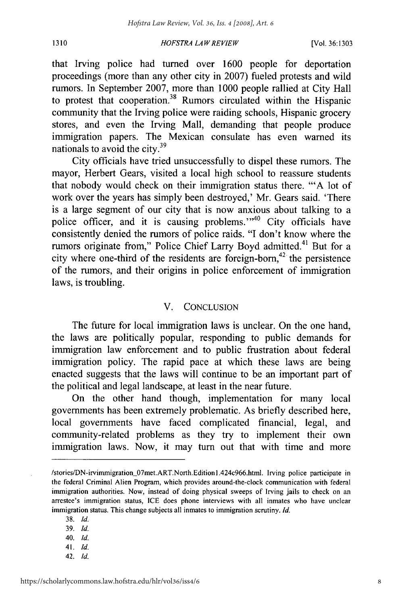#### *HOFSTRA LA W REVIEW*

that Irving police had turned over 1600 people for deportation proceedings (more than any other city in 2007) fueled protests and wild rumors. In September 2007, more than 1000 people rallied at City Hall to protest that cooperation.<sup>38</sup> Rumors circulated within the Hispanic community that the Irving police were raiding schools, Hispanic grocery stores, and even the Irving Mall, demanding that people produce immigration papers. The Mexican consulate has even warned its nationals to avoid the city.<sup>39</sup>

City officials have tried unsuccessfully to dispel these rumors. The mayor, Herbert Gears, visited a local high school to reassure students that nobody would check on their immigration status there. "'A lot of work over the years has simply been destroyed,' Mr. Gears said. 'There is a large segment of our city that is now anxious about talking to a police officer, and it is causing problems."<sup>40</sup> City officials have consistently denied the rumors of police raids. "I don't know where the rumors originate from," Police Chief Larry Boyd admitted.<sup>41</sup> But for a city where one-third of the residents are foreign-born, $42$  the persistence of the rumors, and their origins in police enforcement of immigration laws, is troubling.

## V. CONCLUSION

The future for local immigration laws is unclear. On the one hand, the laws are politically popular, responding to public demands for immigration law enforcement and to public frustration about federal immigration policy. The rapid pace at which these laws are being enacted suggests that the laws will continue to be an important part of the political and legal landscape, at least in the near future.

On the other hand though, implementation for many local governments has been extremely problematic. As briefly described here, local governments have faced complicated financial, legal, and community-related problems as they try to implement their own immigration laws. Now, it may turn out that with time and more

- 39. *Id.*
- 40. *Id.*
- 41. *Id.*
- 42. *Id.*

1310

<sup>/</sup>stories/DN-irvimmigration\_07met.ART.North.Edition I.424c966.html. Irving police participate in the federal Criminal Alien Program, which provides around-the-clock communication with federal immigration authorities. Now, instead of doing physical sweeps of Irving jails to check on an arrestee's immigration status, ICE does phone interviews with all inmates who have unclear immigration status. This change subjects all inmates to immigration scrutiny. *Id.*

**<sup>38.</sup>** *Id.*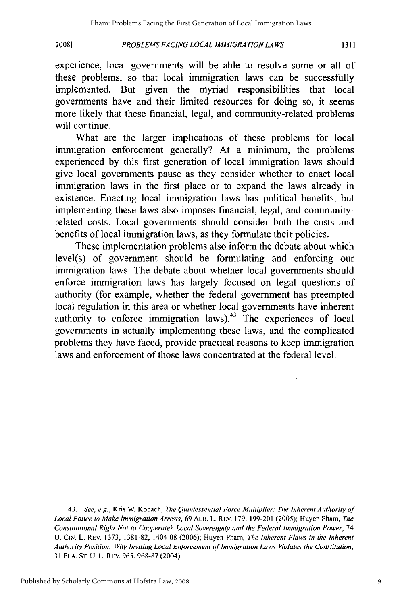*PROBLEMS FACING LOCAL IMMIGRA TION LAWS*

**20081**

experience, local governments will be able to resolve some or all of these problems, so that local immigration laws can be successfully implemented. But given the myriad responsibilities that local governments have and their limited resources for doing so, it seems more likely that these financial, legal, and community-related problems will continue.

What are the larger implications of these problems for local immigration enforcement generally? At a minimum, the problems experienced by this first generation of local immigration laws should give local governments pause as they consider whether to enact local immigration laws in the first place or to expand the laws already in existence. Enacting local immigration laws has political benefits, but implementing these laws also imposes financial, legal, and communityrelated costs. Local governments should consider both the costs and benefits of local immigration laws, as they formulate their policies.

These implementation problems also inform the debate about which level(s) of government should be formulating and enforcing our immigration laws. The debate about whether local governments should enforce immigration laws has largely focused on legal questions of authority (for example, whether the federal government has preempted local regulation in this area or whether local governments have inherent authority to enforce immigration laws). $43$  The experiences of local governments in actually implementing these laws, and the complicated problems they have faced, provide practical reasons to keep immigration laws and enforcement of those laws concentrated at the federal level.

<sup>43.</sup> *See, e.g.,* Kris W. Kobach, *The Quintessential Force Multiplier: The Inherent Authority of Local Police to Make Immigration Arrests,* 69 ALB. L. REV. 179, 199-201 (2005); Huyen Pham, *The Constitutional Right Not to Cooperate? Local Sovereignty and the Federal Immigration Power,* <sup>74</sup> U. **CIN.** L. REV. 1373, 1381-82, 1404-08 (2006); Huyen Pham, *The Inherent Flaws in the Inherent Authority Position: Why Inviting Local Enforcement of Immigration Laws Violates the Constitution,* 31 FLA. **ST.** U. L. REv. 965, 968-87 (2004).